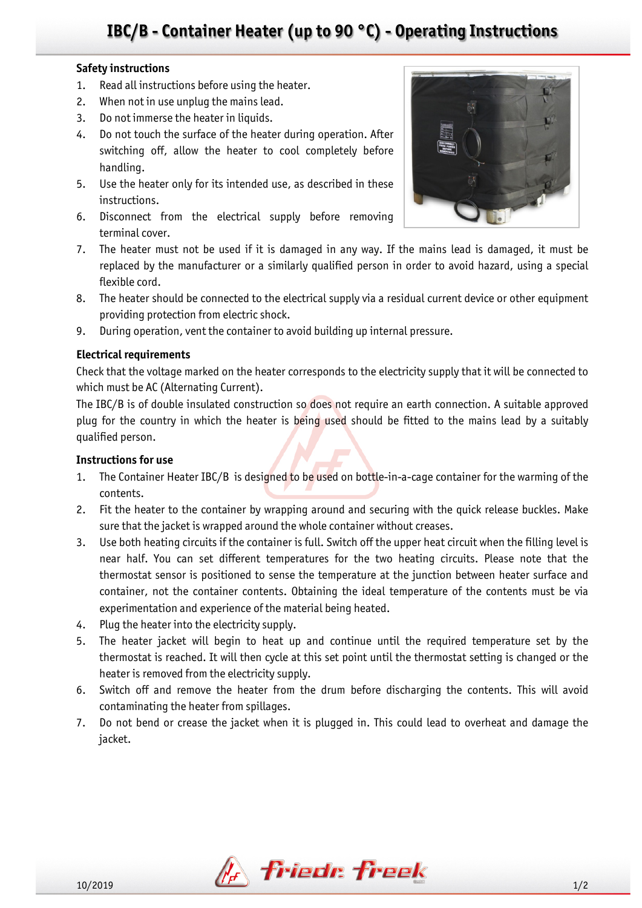# **IBC/B - Container Heater (up to 90 °C) - Operating Instructions**

### **Safety instructions**

- 1. Read all instructions before using the heater.
- 2. When not in use unplug the mains lead.
- 3. Do not immerse the heater in liquids.
- 4. Do not touch the surface of the heater during operation. After switching off, allow the heater to cool completely before handling.
- 5. Use the heater only for its intended use, as described in these instructions.
- 6. Disconnect from the electrical supply before removing terminal cover.
- 7. The heater must not be used if it is damaged in any way. If the mains lead is damaged, it must be replaced by the manufacturer or a similarly qualified person in order to avoid hazard, using a special flexible cord.
- 8. The heater should be connected to the electrical supply via a residual current device or other equipment providing protection from electric shock.
- 9. During operation, vent the container to avoid building up internal pressure.

### **Electrical requirements**

Check that the voltage marked on the heater corresponds to the electricity supply that it will be connected to which must be AC (Alternating Current).

The IBC/B is of double insulated construction so does not require an earth connection. A suitable approved plug for the country in which the heater is being used should be fitted to the mains lead by a suitably qualified person.

### **Instructions for use**

- 1. The Container Heater IBC/B is designed to be used on bottle-in-a-cage container for the warming of the contents.
- 2. Fit the heater to the container by wrapping around and securing with the quick release buckles. Make sure that the jacket is wrapped around the whole container without creases.
- 3. Use both heating circuits if the container is full. Switch off the upper heat circuit when the filling level is near half. You can set different temperatures for the two heating circuits. Please note that the thermostat sensor is positioned to sense the temperature at the junction between heater surface and container, not the container contents. Obtaining the ideal temperature of the contents must be via experimentation and experience of the material being heated.
- 4. Plug the heater into the electricity supply.
- 5. The heater jacket will begin to heat up and continue until the required temperature set by the thermostat is reached. It will then cycle at this set point until the thermostat setting is changed or the heater is removed from the electricity supply.
- 6. Switch off and remove the heater from the drum before discharging the contents. This will avoid contaminating the heater from spillages.
- 7. Do not bend or crease the jacket when it is plugged in. This could lead to overheat and damage the jacket.